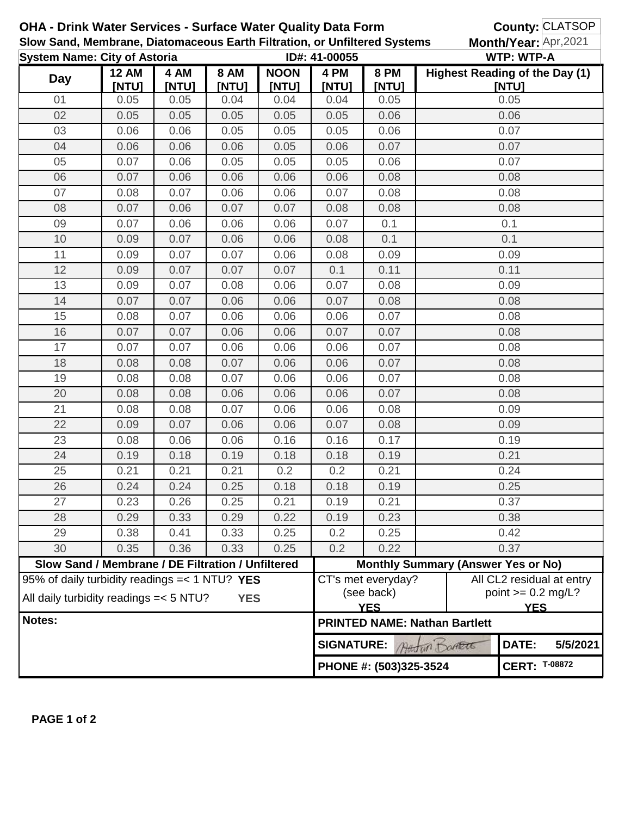| <b>OHA - Drink Water Services - Surface Water Quality Data Form</b><br>Slow Sand, Membrane, Diatomaceous Earth Filtration, or Unfiltered Systems |                                                   |               |                        |                      |                                                |                                                     | County: CLATSOP<br>Month/Year: Apr,2021 |                                                                 |          |
|--------------------------------------------------------------------------------------------------------------------------------------------------|---------------------------------------------------|---------------|------------------------|----------------------|------------------------------------------------|-----------------------------------------------------|-----------------------------------------|-----------------------------------------------------------------|----------|
|                                                                                                                                                  |                                                   |               |                        |                      |                                                |                                                     |                                         |                                                                 |          |
| <b>System Name: City of Astoria</b>                                                                                                              |                                                   |               |                        |                      | ID#: 41-00055                                  | <b>WTP: WTP-A</b><br>Highest Reading of the Day (1) |                                         |                                                                 |          |
| <b>Day</b>                                                                                                                                       | <b>12 AM</b><br>[NTU]                             | 4 AM<br>[NTU] | <b>8 AM</b><br>[NTU]   | <b>NOON</b><br>[NTU] | 4 PM<br>[NTU]                                  | <b>8 PM</b><br><b>INTUI</b>                         |                                         | [NTU]                                                           |          |
| 01                                                                                                                                               | 0.05                                              | 0.05          | 0.04                   | 0.04                 | 0.04                                           | 0.05                                                |                                         | 0.05                                                            |          |
| 02                                                                                                                                               | 0.05                                              | 0.05          | 0.05                   | 0.05                 | 0.05                                           | 0.06                                                |                                         | 0.06                                                            |          |
| 03                                                                                                                                               | 0.06                                              | 0.06          | 0.05                   | 0.05                 | 0.05                                           | 0.06                                                |                                         | 0.07                                                            |          |
| 04                                                                                                                                               | 0.06                                              | 0.06          | 0.06                   | 0.05                 | 0.06                                           | 0.07                                                |                                         | 0.07                                                            |          |
| 05                                                                                                                                               | 0.07                                              | 0.06          | 0.05                   | 0.05                 | 0.05                                           | 0.06                                                | 0.07                                    |                                                                 |          |
| 06                                                                                                                                               | 0.07                                              | 0.06          | 0.06                   | 0.06                 | 0.06                                           | 0.08                                                |                                         | 0.08                                                            |          |
| 07                                                                                                                                               | 0.08                                              | 0.07          | 0.06                   | 0.06                 | 0.07                                           | 0.08                                                |                                         | 0.08                                                            |          |
| 08                                                                                                                                               | 0.07                                              | 0.06          | 0.07                   | 0.07                 | 0.08                                           | 0.08                                                | 0.08                                    |                                                                 |          |
| 09                                                                                                                                               | 0.07                                              | 0.06          | 0.06                   | 0.06                 | 0.07                                           | 0.1                                                 |                                         | 0.1                                                             |          |
| 10                                                                                                                                               | 0.09                                              | 0.07          | 0.06                   | 0.06                 | 0.08                                           | 0.1                                                 |                                         | 0.1                                                             |          |
| 11                                                                                                                                               | 0.09                                              | 0.07          | 0.07                   | 0.06                 | 0.08                                           | 0.09                                                |                                         | 0.09                                                            |          |
| 12                                                                                                                                               | 0.09                                              | 0.07          | 0.07                   | 0.07                 | 0.1                                            | 0.11                                                |                                         | 0.11                                                            |          |
| 13                                                                                                                                               | 0.09                                              | 0.07          | 0.08                   | 0.06                 | 0.07                                           | 0.08                                                |                                         | 0.09                                                            |          |
| 14                                                                                                                                               | 0.07                                              | 0.07          | 0.06                   | 0.06                 | 0.07                                           | 0.08                                                |                                         | 0.08                                                            |          |
| 15                                                                                                                                               | 0.08                                              | 0.07          | 0.06                   | 0.06                 | 0.06                                           | 0.07                                                |                                         | 0.08                                                            |          |
| 16                                                                                                                                               | 0.07                                              | 0.07          | 0.06                   | 0.06                 | 0.07                                           | 0.07                                                |                                         | 0.08                                                            |          |
| 17                                                                                                                                               | 0.07                                              | 0.07          | 0.06                   | 0.06                 | 0.06                                           | 0.07                                                |                                         | 0.08                                                            |          |
| 18                                                                                                                                               | 0.08                                              | 0.08          | 0.07                   | 0.06                 | 0.06                                           | 0.07                                                | 0.08                                    |                                                                 |          |
| 19                                                                                                                                               | 0.08                                              | 0.08          | 0.07                   | 0.06                 | 0.06                                           | 0.07                                                | 0.08                                    |                                                                 |          |
| 20                                                                                                                                               | 0.08                                              | 0.08          | 0.06                   | 0.06                 | 0.06                                           | 0.07                                                | 0.08                                    |                                                                 |          |
| 21                                                                                                                                               | 0.08                                              | 0.08          | 0.07                   | 0.06                 | 0.06                                           | 0.08                                                | 0.09                                    |                                                                 |          |
| 22                                                                                                                                               | 0.09                                              | 0.07          | 0.06                   | 0.06                 | 0.07                                           | 0.08                                                | 0.09                                    |                                                                 |          |
| 23                                                                                                                                               | 0.08                                              | 0.06          | 0.06                   | 0.16                 | 0.16                                           | 0.17                                                | 0.19                                    |                                                                 |          |
| 24                                                                                                                                               | 0.19                                              | 0.18          | 0.19                   | 0.18                 | 0.18                                           | 0.19                                                | 0.21                                    |                                                                 |          |
| 25                                                                                                                                               | 0.21                                              | 0.21          | 0.21                   | 0.2                  | 0.2                                            | 0.21                                                | 0.24                                    |                                                                 |          |
| 26                                                                                                                                               | 0.24                                              | 0.24          | 0.25                   | 0.18                 | 0.18                                           | 0.19                                                | 0.25                                    |                                                                 |          |
| 27                                                                                                                                               | 0.23                                              | 0.26          | 0.25                   | 0.21                 | 0.19                                           | 0.21                                                | 0.37                                    |                                                                 |          |
| 28                                                                                                                                               | 0.29                                              | 0.33          | 0.29                   | 0.22                 | 0.19                                           | 0.23                                                | 0.38                                    |                                                                 |          |
| 29                                                                                                                                               | 0.38                                              | 0.41          | 0.33                   | 0.25                 | 0.2                                            | 0.25                                                | 0.42                                    |                                                                 |          |
| 30                                                                                                                                               | 0.35                                              | 0.36          | 0.33                   | 0.25                 | 0.2                                            | 0.22                                                |                                         | 0.37                                                            |          |
|                                                                                                                                                  | Slow Sand / Membrane / DE Filtration / Unfiltered |               |                        |                      |                                                | <b>Monthly Summary (Answer Yes or No)</b>           |                                         |                                                                 |          |
| 95% of daily turbidity readings $=< 1 N T U$ ? YES<br>All daily turbidity readings = < 5 NTU?<br><b>YES</b>                                      |                                                   |               |                        |                      | CT's met everyday?<br>(see back)<br><b>YES</b> |                                                     |                                         | All CL2 residual at entry<br>point $>= 0.2$ mg/L?<br><b>YES</b> |          |
| Notes:                                                                                                                                           |                                                   |               |                        |                      | <b>PRINTED NAME: Nathan Bartlett</b>           |                                                     |                                         |                                                                 |          |
|                                                                                                                                                  |                                                   |               |                        |                      |                                                | DATE:<br><b>SIGNATURE:</b><br>Attin Danett          |                                         |                                                                 | 5/5/2021 |
|                                                                                                                                                  |                                                   |               | PHONE #: (503)325-3524 |                      |                                                | <b>CERT: T-08872</b>                                |                                         |                                                                 |          |